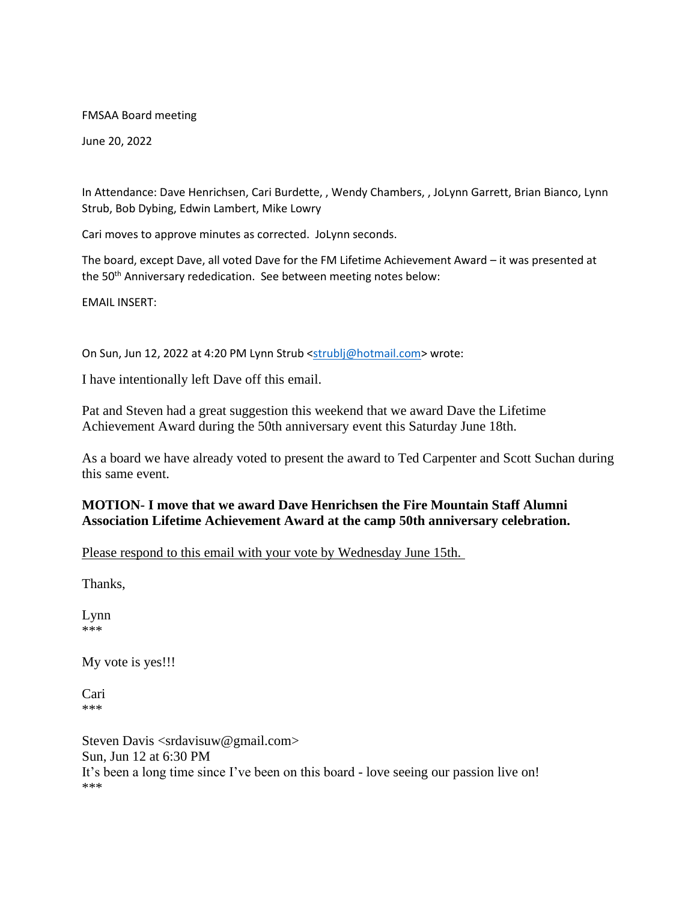FMSAA Board meeting

June 20, 2022

In Attendance: Dave Henrichsen, Cari Burdette, , Wendy Chambers, , JoLynn Garrett, Brian Bianco, Lynn Strub, Bob Dybing, Edwin Lambert, Mike Lowry

Cari moves to approve minutes as corrected. JoLynn seconds.

The board, except Dave, all voted Dave for the FM Lifetime Achievement Award – it was presented at the 50<sup>th</sup> Anniversary rededication. See between meeting notes below:

EMAIL INSERT:

On Sun, Jun 12, 2022 at 4:20 PM Lynn Strub [<strublj@hotmail.com>](mailto:strublj@hotmail.com) wrote:

I have intentionally left Dave off this email.

Pat and Steven had a great suggestion this weekend that we award Dave the Lifetime Achievement Award during the 50th anniversary event this Saturday June 18th.

As a board we have already voted to present the award to Ted Carpenter and Scott Suchan during this same event.

## **MOTION- I move that we award Dave Henrichsen the Fire Mountain Staff Alumni Association Lifetime Achievement Award at the camp 50th anniversary celebration.**

Please respond to this email with your vote by Wednesday June 15th.

Thanks,

Lynn \*\*\*

My vote is yes!!!

Cari \*\*\*

Steven Davis <srdavisuw@gmail.com> Sun, Jun 12 at 6:30 PM It's been a long time since I've been on this board - love seeing our passion live on! \*\*\*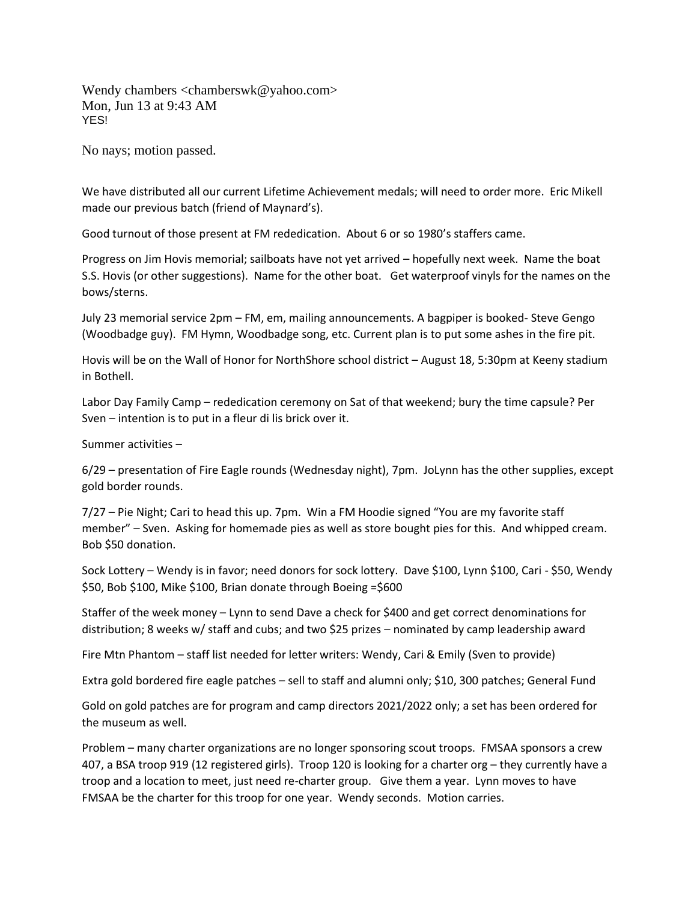Wendy chambers <chamberswk@yahoo.com> Mon, Jun 13 at 9:43 AM YES!

No nays; motion passed.

We have distributed all our current Lifetime Achievement medals; will need to order more. Eric Mikell made our previous batch (friend of Maynard's).

Good turnout of those present at FM rededication. About 6 or so 1980's staffers came.

Progress on Jim Hovis memorial; sailboats have not yet arrived – hopefully next week. Name the boat S.S. Hovis (or other suggestions). Name for the other boat. Get waterproof vinyls for the names on the bows/sterns.

July 23 memorial service 2pm – FM, em, mailing announcements. A bagpiper is booked- Steve Gengo (Woodbadge guy). FM Hymn, Woodbadge song, etc. Current plan is to put some ashes in the fire pit.

Hovis will be on the Wall of Honor for NorthShore school district – August 18, 5:30pm at Keeny stadium in Bothell.

Labor Day Family Camp – rededication ceremony on Sat of that weekend; bury the time capsule? Per Sven – intention is to put in a fleur di lis brick over it.

Summer activities –

6/29 – presentation of Fire Eagle rounds (Wednesday night), 7pm. JoLynn has the other supplies, except gold border rounds.

7/27 – Pie Night; Cari to head this up. 7pm. Win a FM Hoodie signed "You are my favorite staff member" – Sven. Asking for homemade pies as well as store bought pies for this. And whipped cream. Bob \$50 donation.

Sock Lottery – Wendy is in favor; need donors for sock lottery. Dave \$100, Lynn \$100, Cari - \$50, Wendy \$50, Bob \$100, Mike \$100, Brian donate through Boeing =\$600

Staffer of the week money – Lynn to send Dave a check for \$400 and get correct denominations for distribution; 8 weeks w/ staff and cubs; and two \$25 prizes – nominated by camp leadership award

Fire Mtn Phantom – staff list needed for letter writers: Wendy, Cari & Emily (Sven to provide)

Extra gold bordered fire eagle patches – sell to staff and alumni only; \$10, 300 patches; General Fund

Gold on gold patches are for program and camp directors 2021/2022 only; a set has been ordered for the museum as well.

Problem – many charter organizations are no longer sponsoring scout troops. FMSAA sponsors a crew 407, a BSA troop 919 (12 registered girls). Troop 120 is looking for a charter org – they currently have a troop and a location to meet, just need re-charter group. Give them a year. Lynn moves to have FMSAA be the charter for this troop for one year. Wendy seconds. Motion carries.